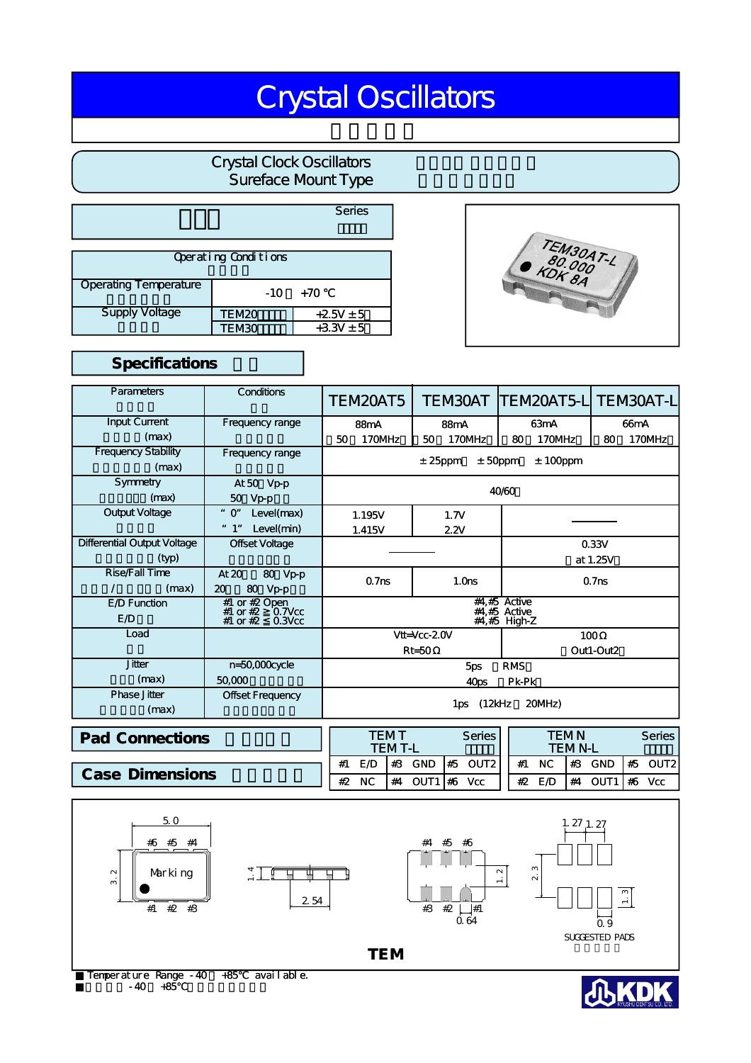# Crystal Oscillators

# Crystal Clock Oscillators Sureface Mount Type

|                              |              | Series        |  |  |  |  |  |  |  |
|------------------------------|--------------|---------------|--|--|--|--|--|--|--|
| Operating Conditions         |              |               |  |  |  |  |  |  |  |
| <b>Operating Temperature</b> | $-10$        | +70           |  |  |  |  |  |  |  |
| <b>Supply Voltage</b>        | <b>TEM20</b> | $+25V \pm 5$  |  |  |  |  |  |  |  |
|                              | TEM30        | $+3.3V \pm 5$ |  |  |  |  |  |  |  |



## Specifications

| Parameters                          | <b>Conditions</b>                                                       | TEM20AT5                                         | TEM30AT           | <b>TEM20AT5-LITEM30AT-LI</b> |                   |  |  |
|-------------------------------------|-------------------------------------------------------------------------|--------------------------------------------------|-------------------|------------------------------|-------------------|--|--|
| <b>Input Current</b>                | Frequency range                                                         | 88 <sub>m</sub> A                                | 88 <sub>m</sub> A | 63mA                         | 66 <sub>m</sub> A |  |  |
| (max)                               |                                                                         | 170MHz<br>50                                     | 170MHz<br>50      | 170MHz<br>80                 | 170MHz<br>80      |  |  |
| <b>Frequency Stability</b><br>(max) | Frequency range                                                         | $±$ 50ppm<br>$± 100$ ppm<br>$± 25$ ppm           |                   |                              |                   |  |  |
| Symmetry                            | At 50 Vp-p                                                              |                                                  |                   |                              |                   |  |  |
| (max)                               | 50 Vp-p                                                                 |                                                  |                   | 40/60                        |                   |  |  |
| Output Voltage                      | Level(max)<br>$"$ O"                                                    | 1.195V                                           | 1.7V              |                              |                   |  |  |
|                                     | " 1"<br>Level(min)                                                      | 1.415V                                           | 2.2V              |                              |                   |  |  |
| Differential Output Voltage         | Offset Voltage                                                          | 0.33V                                            |                   |                              |                   |  |  |
| (typ)                               |                                                                         |                                                  |                   |                              | at 1.25V          |  |  |
| Rise/Fall Time<br>(max)<br>T        | At $20$<br>80 Vp-p<br>80 Vp-p<br>20                                     | 0.7 <sub>ns</sub>                                | 1.0 <sub>ns</sub> |                              | 0.7 <sub>ns</sub> |  |  |
| E D Function<br>E /D                | #1 or #2 Open<br>#1 or $#2$<br>$0.7$ V $cc$<br>#1 or #2<br>$0.3$ V $cc$ | $#4,#5$ Active<br>$#4.#5$ Active<br>#4,#5 High-Z |                   |                              |                   |  |  |
| Load                                |                                                                         | $V$ tt= $Vcc-2.0V$                               |                   |                              | 100               |  |  |
|                                     |                                                                         | $Rt = 50$<br>Out1-Out2                           |                   |                              |                   |  |  |
| <b>Jitter</b>                       | n=50,000cycle                                                           |                                                  | 5ps               | <b>RMS</b>                   |                   |  |  |
| (max)                               | 50,000                                                                  | Pk-Pk<br>40ps                                    |                   |                              |                   |  |  |
| <b>Phase Jitter</b><br>(max)        | Offset Frequency                                                        | 1ps (12kHz<br>20MHz)                             |                   |                              |                   |  |  |

| <b>Pad Connections</b> |    | TEMT      | <b>TEMT-L</b> |         | Series          |    |        | TFMN<br><b>TEMN-L</b> |         | <b>Series</b> |
|------------------------|----|-----------|---------------|---------|-----------------|----|--------|-----------------------|---------|---------------|
|                        |    | E D       | #3            | GND     | $#5$ OUT2       | #1 | NC.    | $\frac{1}{4}$         | GND     | $#5$ OUT2     |
| <b>Case Dimensions</b> | #2 | <b>NC</b> | #4            | OUT1 #6 | V <sub>CC</sub> |    | #2 E/D | #4                    | OUT1 #6 | <b>Vcc</b>    |